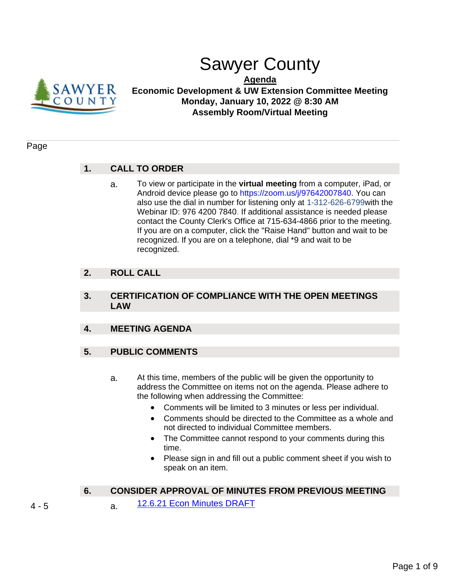

# Sawyer County

**Agenda**

**Economic Development & UW Extension Committee Meeting Monday, January 10, 2022 @ 8:30 AM Assembly Room/Virtual Meeting**

### Page

### **1. CALL TO ORDER**

a. To view or participate in the **virtual meeting** from a computer, iPad, or Android device please go to https://zoom.us/j/97642007840. You can also use the dial in number for listening only at 1-312-626-6799with the Webinar ID: 976 4200 7840. If additional assistance is needed please contact the County Clerk's Office at 715-634-4866 prior to the meeting. If you are on a computer, click the "Raise Hand" button and wait to be recognized. If you are on a telephone, dial \*9 and wait to be recognized.

### **2. ROLL CALL**

### **3. CERTIFICATION OF COMPLIANCE WITH THE OPEN MEETINGS LAW**

### **4. MEETING AGENDA**

### **5. PUBLIC COMMENTS**

- a. At this time, members of the public will be given the opportunity to address the Committee on items not on the agenda. Please adhere to the following when addressing the Committee:
	- Comments will be limited to 3 minutes or less per individual.
	- Comments should be directed to the Committee as a whole and not directed to individual Committee members.
	- The Committee cannot respond to your comments during this time.
	- Please sign in and fill out a public comment sheet if you wish to speak on an item.

### **6. CONSIDER APPROVAL OF MINUTES FROM PREVIOUS MEETING**

- 4 5 a. [12.6.21 Econ Minutes DRAFT](#page-3-0)
-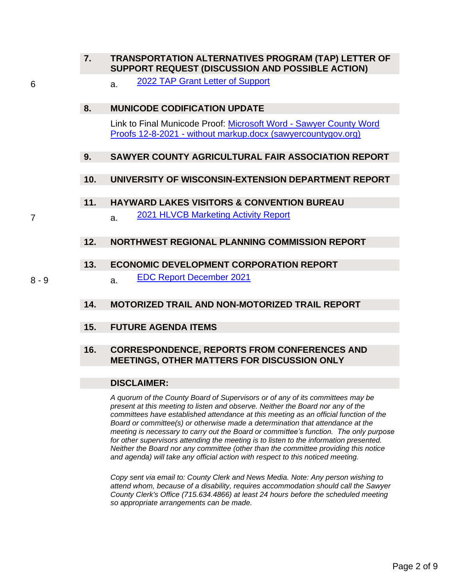| TRANSPORTATION ALTERNATIVES PROGRAM (TAP) LETTER OF |  |  |  |
|-----------------------------------------------------|--|--|--|
| SUPPORT REQUEST (DISCUSSION AND POSSIBLE ACTION)    |  |  |  |

6 a. [2022 TAP Grant Letter of Support](#page-5-0)

### **8. MUNICODE CODIFICATION UPDATE**

Link to Final Municode Proof: Microsoft Word - [Sawyer County Word](https://sawyercountygov.org/ArchiveCenter/ViewFile/Item/460)  Proofs 12-8-2021 - [without markup.docx \(sawyercountygov.org\)](https://sawyercountygov.org/ArchiveCenter/ViewFile/Item/460)

### **9. SAWYER COUNTY AGRICULTURAL FAIR ASSOCIATION REPORT**

### **10. UNIVERSITY OF WISCONSIN-EXTENSION DEPARTMENT REPORT**

### **11. HAYWARD LAKES VISITORS & CONVENTION BUREAU**

7 **a.** [2021 HLVCB Marketing Activity Report](#page-6-0)

### **12. NORTHWEST REGIONAL PLANNING COMMISSION REPORT**

### **13. ECONOMIC DEVELOPMENT CORPORATION REPORT**

8 - 9 a. [EDC Report December 2021](#page-7-0)

### **14. MOTORIZED TRAIL AND NON-MOTORIZED TRAIL REPORT**

### **15. FUTURE AGENDA ITEMS**

### **16. CORRESPONDENCE, REPORTS FROM CONFERENCES AND MEETINGS, OTHER MATTERS FOR DISCUSSION ONLY**

### **DISCLAIMER:**

*A quorum of the County Board of Supervisors or of any of its committees may be present at this meeting to listen and observe. Neither the Board nor any of the committees have established attendance at this meeting as an official function of the Board or committee(s) or otherwise made a determination that attendance at the meeting is necessary to carry out the Board or committee's function. The only purpose for other supervisors attending the meeting is to listen to the information presented. Neither the Board nor any committee (other than the committee providing this notice and agenda) will take any official action with respect to this noticed meeting.* 

*Copy sent via email to: County Clerk and News Media. Note: Any person wishing to attend whom, because of a disability, requires accommodation should call the Sawyer County Clerk's Office (715.634.4866) at least 24 hours before the scheduled meeting so appropriate arrangements can be made.*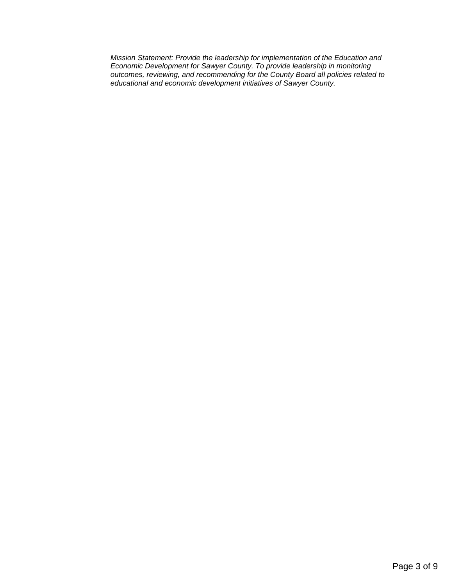*Mission Statement: Provide the leadership for implementation of the Education and Economic Development for Sawyer County. To provide leadership in monitoring outcomes, reviewing, and recommending for the County Board all policies related to educational and economic development initiatives of Sawyer County.*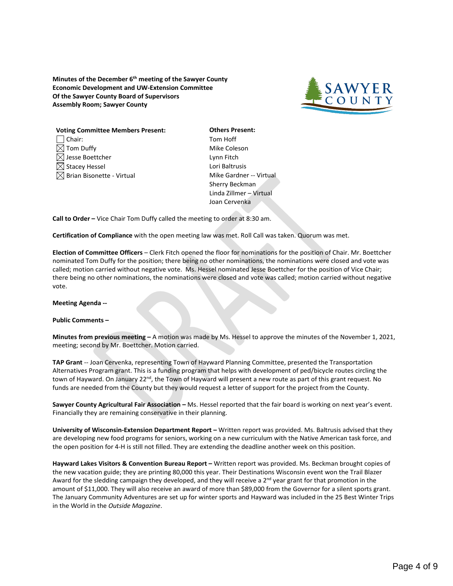<span id="page-3-0"></span>**Minutes of the December 6th meeting of the Sawyer County Economic Development and UW-Extension Committee Of the Sawyer County Board of Supervisors Assembly Room; Sawyer County**



| <b>Voting Committee Members Present:</b> |  |  |  |  |
|------------------------------------------|--|--|--|--|
| $\Box$ Chair:                            |  |  |  |  |
| $\boxtimes$ Tom Duffy                    |  |  |  |  |
| $\boxtimes$ Jesse Boettcher              |  |  |  |  |
| $\boxtimes$ Stacey Hessel                |  |  |  |  |
| $\boxtimes$ Brian Bisonette - Virtual    |  |  |  |  |

**Others Present:** Tom Hoff Mike Coleson Lynn Fitch Lori Baltrusis Mike Gardner -- Virtual Sherry Beckman Linda Zillmer – Virtual Joan Cervenka

**Call to Order –** Vice Chair Tom Duffy called the meeting to order at 8:30 am.

**Certification of Compliance** with the open meeting law was met. Roll Call was taken. Quorum was met.

**Election of Committee Officers** – Clerk Fitch opened the floor for nominations for the position of Chair. Mr. Boettcher nominated Tom Duffy for the position; there being no other nominations, the nominations were closed and vote was called; motion carried without negative vote. Ms. Hessel nominated Jesse Boettcher for the position of Vice Chair; there being no other nominations, the nominations were closed and vote was called; motion carried without negative vote.

#### **Meeting Agenda --**

#### **Public Comments –**

**Minutes from previous meeting –** A motion was made by Ms. Hessel to approve the minutes of the November 1, 2021, meeting; second by Mr. Boettcher. Motion carried.

**TAP Grant** -- Joan Cervenka, representing Town of Hayward Planning Committee, presented the Transportation Alternatives Program grant. This is a funding program that helps with development of ped/bicycle routes circling the town of Hayward. On January 22<sup>nd</sup>, the Town of Hayward will present a new route as part of this grant request. No funds are needed from the County but they would request a letter of support for the project from the County.

**Sawyer County Agricultural Fair Association –** Ms. Hessel reported that the fair board is working on next year's event. Financially they are remaining conservative in their planning.

**University of Wisconsin-Extension Department Report –** Written report was provided. Ms. Baltrusis advised that they are developing new food programs for seniors, working on a new curriculum with the Native American task force, and the open position for 4-H is still not filled. They are extending the deadline another week on this position.

**Hayward Lakes Visitors & Convention Bureau Report –** Written report was provided. Ms. Beckman brought copies of the new vacation guide; they are printing 80,000 this year. Their Destinations Wisconsin event won the Trail Blazer Award for the sledding campaign they developed, and they will receive a  $2^{nd}$  year grant for that promotion in the amount of \$11,000. They will also receive an award of more than \$89,000 from the Governor for a silent sports grant. The January Community Adventures are set up for winter sports and Hayward was included in the 25 Best Winter Trips in the World in the *Outside Magazine*.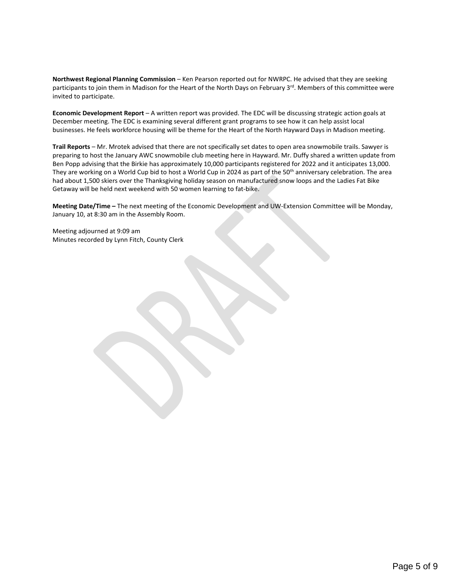**Northwest Regional Planning Commission** – Ken Pearson reported out for NWRPC. He advised that they are seeking participants to join them in Madison for the Heart of the North Days on February 3<sup>rd</sup>. Members of this committee were invited to participate.

**Economic Development Report** – A written report was provided. The EDC will be discussing strategic action goals at December meeting. The EDC is examining several different grant programs to see how it can help assist local businesses. He feels workforce housing will be theme for the Heart of the North Hayward Days in Madison meeting.

**Trail Reports** – Mr. Mrotek advised that there are not specifically set dates to open area snowmobile trails. Sawyer is preparing to host the January AWC snowmobile club meeting here in Hayward. Mr. Duffy shared a written update from Ben Popp advising that the Birkie has approximately 10,000 participants registered for 2022 and it anticipates 13,000. They are working on a World Cup bid to host a World Cup in 2024 as part of the 50<sup>th</sup> anniversary celebration. The area had about 1,500 skiers over the Thanksgiving holiday season on manufactured snow loops and the Ladies Fat Bike Getaway will be held next weekend with 50 women learning to fat-bike.

**Meeting Date/Time –** The next meeting of the Economic Development and UW-Extension Committee will be Monday, January 10, at 8:30 am in the Assembly Room.

Meeting adjourned at 9:09 am Minutes recorded by Lynn Fitch, County Clerk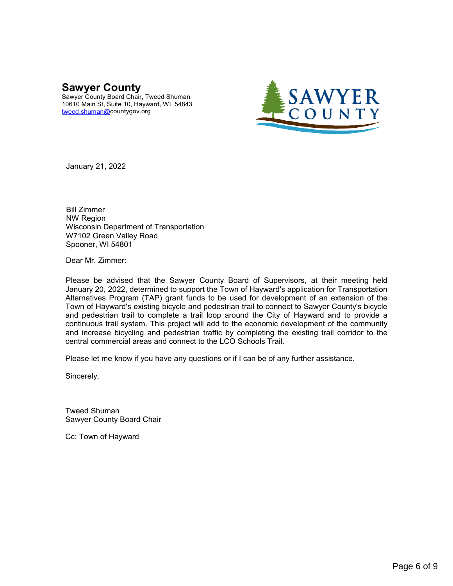## <span id="page-5-0"></span>**Sawyer County**

Sawyer County Board Chair, Tweed Shuman 10610 Main St, Suite 10, Hayward, WI 54843 [tweed.shuman@c](mailto:tweed.shuman@)ountygov.org



January 21, 2022

Bill Zimmer NW Region Wisconsin Department of Transportation W7102 Green Valley Road Spooner, WI 54801

Dear Mr. Zimmer:

Please be advised that the Sawyer County Board of Supervisors, at their meeting held January 20, 2022, determined to support the Town of Hayward's application for Transportation Alternatives Program (TAP) grant funds to be used for development of an extension of the Town of Hayward's existing bicycle and pedestrian trail to connect to Sawyer County's bicycle and pedestrian trail to complete a trail loop around the City of Hayward and to provide a continuous trail system. This project will add to the economic development of the community and increase bicycling and pedestrian traffic by completing the existing trail corridor to the central commercial areas and connect to the LCO Schools Trail.

Please let me know if you have any questions or if I can be of any further assistance.

Sincerely,

Tweed Shuman Sawyer County Board Chair

Cc: Town of Hayward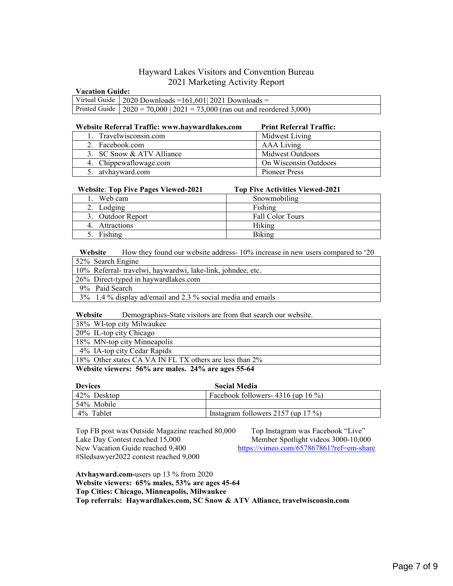### Hayward Lakes Visitors and Convention Bureau 2021 Marketing Activity Report

#### <span id="page-6-0"></span>**Vacation Guide:**

| Virtual Guide   2020 Downloads = $161,601$   2021 Downloads =                   |  |  |
|---------------------------------------------------------------------------------|--|--|
| Printed Guide   $2020 = 70,000$   $2021 = 73,000$ (ran out and reordered 3,000) |  |  |

#### **Website Referral Traffic: www.haywardlakes.com Print Referral Traffic:**

4. Attractions Hiking 5. Fishing Biking

| 1. Travelwisconsin.com    | Midwest Living        |
|---------------------------|-----------------------|
| 2. Facebook.com           | AAA Living            |
| 3. SC Snow & ATV Alliance | Midwest Outdoors      |
| 4. Chippewaflowage.com    | On Wisconsin Outdoors |
| 5. atyhayward.com         | Pioneer Press         |

#### **Website**: **Top Five Pages Viewed-2021 Top Five Activities Viewed-2021**

### 1. Web cam Snowmobiling 2. Lodging Fishing 3. Outdoor Report Fall Color Tours

Website How they found our website address- 10% increase in new users compared to '20 52% Search Engine

| $1.3270$ Search Engine                                      |
|-------------------------------------------------------------|
| 10% Referral-travelwi, haywardwi, lake-link, johndee, etc.  |
| 26% Direct-typed in haywardlakes.com                        |
| 9% Paid Search                                              |
| 3% 1.4 % display ad/email and 2.3 % social media and emails |

**Website** Demographics-State visitors are from that search our website.

|  | 38% WI-top city Milwaukee |
|--|---------------------------|
|  |                           |

20% IL-top city Chicago

18% MN-top city Minneapolis 4% IA-top city Cedar Rapids

18% Other states CA VA IN FL TX others are less than 2%

**Website viewers: 56% are males. 24% are ages 55-64** 

| <b>Devices</b> | <b>Social Media</b>                     |
|----------------|-----------------------------------------|
| 42% Desktop    | Facebook followers- $4316$ (up $16\%$ ) |
| 54% Mobile     |                                         |
| 4% Tablet      | Instagram followers $2157$ (up 17 %)    |

Top FB post was Outside Magazine reached 80,000 Top Instagram was Facebook "Live" Lake Day Contest reached 15,000 Member Spotlight videos 3000-10,000 New Vacation Guide reached 9,400 <https://vimeo.com/657867861?ref=em-share> #Sledsawyer2022 contest reached 9,000

**Atvhayward.com-**users up 13 % from 2020 **Website viewers: 65% males, 53% are ages 45-64 Top Cities: Chicago, Minneapolis, Milwaukee Top referrals: Haywardlakes.com, SC Snow & ATV Alliance, travelwisconsin.com**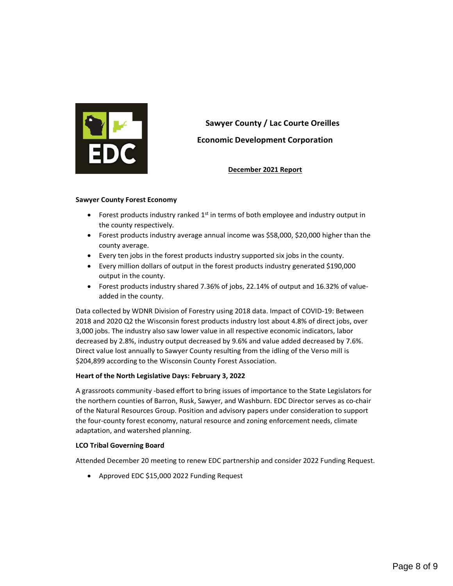<span id="page-7-0"></span>

# **Sawyer County / Lac Courte Oreilles Economic Development Corporation**

**December 2021 Report** 

#### **Sawyer County Forest Economy**

- Forest products industry ranked  $1<sup>st</sup>$  in terms of both employee and industry output in the county respectively.
- Forest products industry average annual income was \$58,000, \$20,000 higher than the county average.
- Every ten jobs in the forest products industry supported six jobs in the county.
- Every million dollars of output in the forest products industry generated \$190,000 output in the county.
- Forest products industry shared 7.36% of jobs, 22.14% of output and 16.32% of valueadded in the county.

Data collected by WDNR Division of Forestry using 2018 data. Impact of COVID-19: Between 2018 and 2020 Q2 the Wisconsin forest products industry lost about 4.8% of direct jobs, over 3,000 jobs. The industry also saw lower value in all respective economic indicators, labor decreased by 2.8%, industry output decreased by 9.6% and value added decreased by 7.6%. Direct value lost annually to Sawyer County resulting from the idling of the Verso mill is \$204,899 according to the Wisconsin County Forest Association.

### **Heart of the North Legislative Days: February 3, 2022**

A grassroots community -based effort to bring issues of importance to the State Legislators for the northern counties of Barron, Rusk, Sawyer, and Washburn. EDC Director serves as co-chair of the Natural Resources Group. Position and advisory papers under consideration to support the four-county forest economy, natural resource and zoning enforcement needs, climate adaptation, and watershed planning.

#### **LCO Tribal Governing Board**

Attended December 20 meeting to renew EDC partnership and consider 2022 Funding Request.

• Approved EDC \$15,000 2022 Funding Request